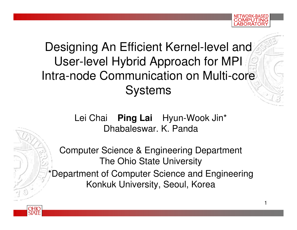#### Designing An Efficient Kernel-level and User-level Hybrid Approach for MPIIntra-node Communication on Multi-core **Systems**

Lei Chai **Ping LaiPing Lai** Hyun-Wook Jin\* Dhabaleswar. K. Panda

Computer Science & Engineering DepartmentThe Ohio State UniversityDepartment of Computer Science and Engineering Konkuk University, Seoul, Korea

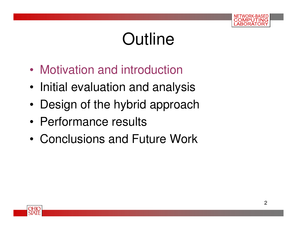

# **Outline**

- •Motivation and introduction
- •Initial evaluation and analysis
- •Design of the hybrid approach
- •Performance results
- •Conclusions and Future Work

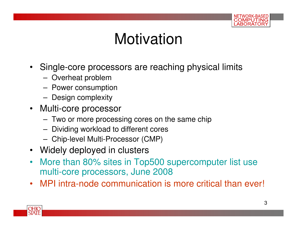

#### Motivation

- $\bullet$  Single-core processors are reaching physical limits
	- **Lating Community** Overheat problem
	- Power consumn Power consumption
	- –Design complexity
- Multi-core processor
	- –Two or more processing cores on the same chip
	- –Dividing workload to different cores
	- **Lating Community** Chip-level Multi-Processor (CMP)
- Widely deployed in clusters
- More than 80% sites in Top500 supercomputer list use •multi-core processors, June 2008
- MPI intra-node communication is more critical than ever!

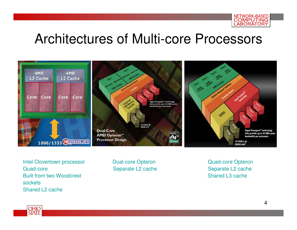

#### Architectures of Multi-core Processors



Intel Clovertown processor **Dual-core Opteron** Quad-core Opteron Quad-core Separate L2 cache Separate L2 cache Built from two Woodcrest Shared L3 cache **sockets** Shared L2 cache

Separate L2 cache

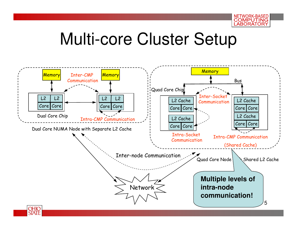

# Multi-core Cluster Setup

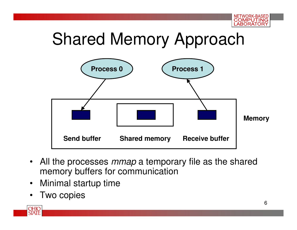

# Shared Memory Approach



- All the processes *mmap* a temporary file as the shared memory buffers for communication
- $\bullet$ Minimal startup time
- •Two copies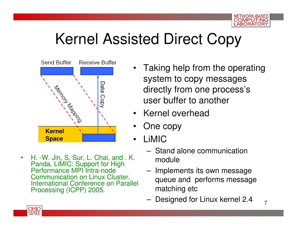

## Kernel Assisted Direct Copy



 $\bullet$  H. -W. Jin, S. Sur, L. Chai, and . K. Panda, LiMIC: Support for High Performance MPI Intra-node Communication on Linux Cluster, International Conference on Parallel Processing (ICPP) 2005.

- Taking help from the operating system to copy messages directly from one process's user buffer to another
- •Kernel overhead
- •One copy
- • LiMIC
	- بے ب Stand alone communication module
	- – Implements its own message queue and performs message matching etc
	- **Lating Community** Designed for Linux kernel 2.4

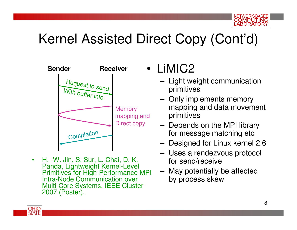#### Kernel Assisted Direct Copy (Cont'd)



• H. -W. Jin, S. Sur, L. Chai, D. K. Panda, Lightweight Kernel-Level Primitives for High-Performance MPI Intra-Node Communication over Multi-Core Systems. IEEE Cluster 2007 (Poster).

•LiMIC2

- $-$  lights Light weight communication primitives
- – Only implements memory mapping and data movement primitives
- **Lating Community**  Depends on the MPI library for message matching etc
- **Lating Community** Designed for Linux kernel 2.6
- – Uses a rendezvous protocol for send/receive
- May potentially be affected –by process skew

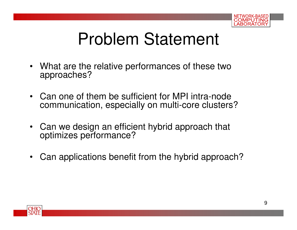

# Problem Statement

- What are the relative performances of these two approaches?
- Can one of them be sufficient for MPI intra-node communication, especially on multi-core clusters?
- Can we design an efficient hybrid approach that optimizes performance?
- $\bullet$ Can applications benefit from the hybrid approach?

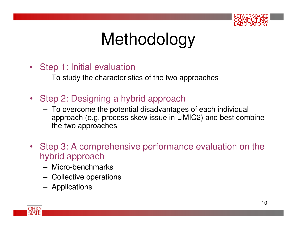

# Methodology

- Step 1: Initial evaluation
	- $-$  To study the characteric To study the characteristics of the two approaches
- Step 2: Designing a hybrid approach
	- $-$  To overcome the potential disadvantag To overcome the potential disadvantages of each individual approach (e.g. process skew issue in LiMIC2) and best combine the two approaches
- Step 3: A comprehensive performance evaluation on the hybrid approach
	- Micro-honchm Micro-benchmarks
	- **Lating Community** Collective operations
	- –Applications

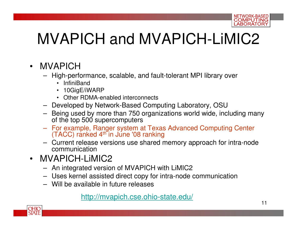

## MVAPICH and MVAPICH-LiMIC2

- $\bullet$  MVAPICH
	- High-performance, scalable, and fault-tolerant MPI library over
		- InfiniBand
		- 10GigE/iWARP•
		- Other RDMA-enabled interconnects
	- Developed by Network-Based Computing Laboratory, OSU
	- Being used by more than 750 organizations world wide, including many of the top 500 supercomputers
	- For example, Ranger system at Texas Advanced Computing Center (TACC) ranked 4th in June '08 ranking
	- Current release versions use shared memory approach for intra-node communication
- MVAPICH-LiMIC2
	- An integrated version of MVAPICH with LiMIC2
	- Uses kernel assisted direct copy for intra-node communication
	- Will be available in future releases

#### http://mvapich.cse.ohio-state.edu/

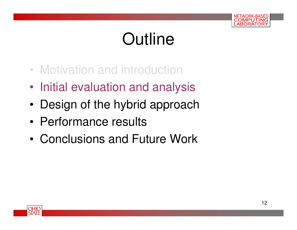

# **Outline**

- Motivation and introduction
- •Initial evaluation and analysis
- •Design of the hybrid approach
- •Performance results
- •Conclusions and Future Work

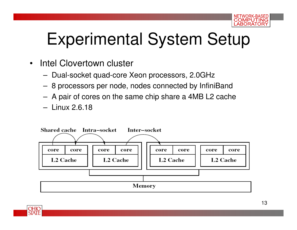

# Experimental System Setup

- $\bullet$  Intel Clovertown cluster
	- –Dual-socket quad-core Xeon processors, 2.0GHz
	- –8 processors per node, nodes connected by InfiniBand
	- –A pair of cores on the same chip share a 4MB L2 cache
	- –Linux 2.6.18

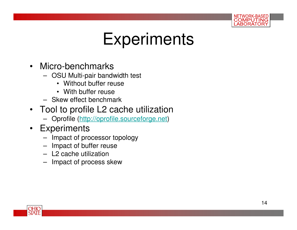

# **Experiments**

- Micro-benchmarks
	- OSU Multi-pair bandwidth test
		- Without buffer reuse
		- With buffer reuse
	- Skew effect benchmark
- Tool to profile L2 cache utilization
	- Oprofile (http://oprofile.sourceforge.net)
- Experiments
	- Impact of processor topology
	- Impact of buffer reuse
	- L2 cache utilization
	- Impact of process skew

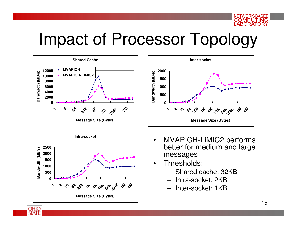

## Impact of Processor Topology





OHIO **STATE** 



- $\bullet$  MVAPICH-LiMIC2 performs better for medium and large messages
- Thresholds: •
	- Shared cache: 32KB
	- Intra-socket: 2KB
	- Inter-socket: 1KB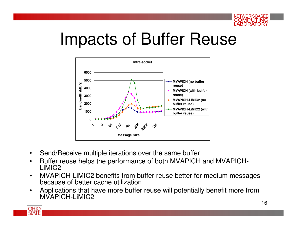

# Impacts of Buffer Reuse



- •Send/Receive multiple iterations over the same buffer
- Buffer reuse helps the performance of both MVAPICH and MVAPICH-•LiMIC2
- MVAPICH-LiMIC2 benefits from buffer reuse better for medium messages •because of better cache utilization
- Applications that have more buffer reuse will potentially benefit more from  $\bullet$ MVAPICH-LIMIC<sub>2</sub>

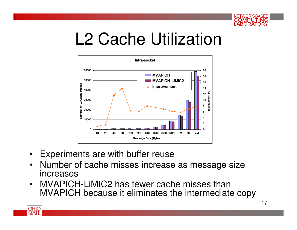

# L2 Cache Utilization



- Experiments are with buffer reuse
- Number of cache misses increase as message size increases
- MVAPICH-LiMIC2 has fewer cache misses than  $\bullet$ MVAPICH because it eliminates the intermediate copy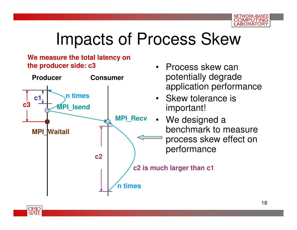

# Impacts of Process Skew

#### **We measure the total latency on the producer side: c3**

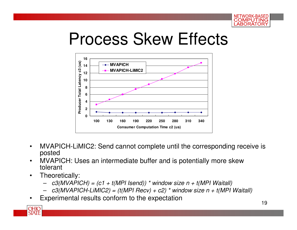

# Process Skew Effects



- • MVAPICH-LiMIC2: Send cannot complete until the corresponding receive is posted
- MVAPICH: Uses an intermediate buffer and is potentially more skew •tolerant
- • Theoretically:
	- c3(MVAPICH) = (c1 + t(MPI Isend)) \* window size n + t(MPI Waitall)
	- –c3(MVAPICH-LiMIC2) = (t(MPI Recv) + c2) \* window size  $n + t(MPI$  Waitall)
- •Experimental results conform to the expectation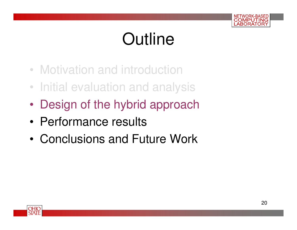

# **Outline**

- Motivation and introduction
- Initial evaluation and analysis
- •Design of the hybrid approach
- •Performance results
- •Conclusions and Future Work

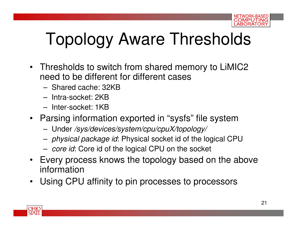

# Topology Aware Thresholds

- Thresholds to switch from shared memory to LiMIC2 need to be different for different cases
	- **Links of the Company** Shared cache: 32KB
	- –Intra-socket: 2KB
	- Intor-cockot: 1K Inter-socket: 1KB
- Parsing information exported in "sysfs" file system
	- –Under /sys/devices/system/cpu/cpuX/topology/
	- – $\;$  -  $\;$  physical package id: Physical socket id of the logical CPU  $\;$
	- **Links of the Company** - *core id*: Core id of the logical CPU on the socket
- Every process knows the topology based on the above information
- Using CPU affinity to pin processes to processors $\bullet$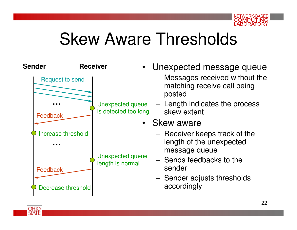

# Skew Aware Thresholds

| <b>Sender</b>          | <b>Receiver</b>                          | • Unexpected message queue                                                 |
|------------------------|------------------------------------------|----------------------------------------------------------------------------|
| <b>Request to send</b> |                                          | - Messages received without the<br>matching receive call being<br>posted   |
| Feedback               | Unexpected queue<br>is detected too long | - Length indicates the process<br>skew extent                              |
|                        |                                          | • Skew aware                                                               |
| Increase threshold     |                                          | - Receiver keeps track of the<br>length of the unexpected<br>message queue |
| Feedback               | Unexpected queue<br>length is normal     | - Sends feedbacks to the<br>sender                                         |
| Decrease threshold     |                                          | - Sender adjusts thresholds<br>accordingly                                 |

**OHIO**<br>STATE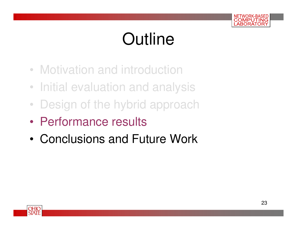

# **Outline**

- Motivation and introduction
- Initial evaluation and analysis
- •Design of the hybrid approach
- •Performance results
- •Conclusions and Future Work

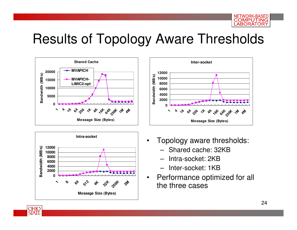NETWORK-BASED **COMPUTING ABORATORY** 

#### Results of Topology Aware Thresholds







- • Topology aware thresholds:
	- Shared cache: 32KB
	- Intra-socket: 2KB
	- Inter-socket: 1KB
- Performance optimized for all •the three cases

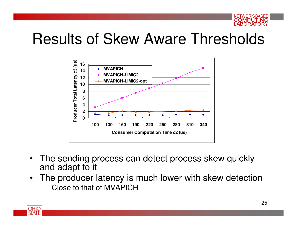

#### Results of Skew Aware Thresholds



- $\bullet$  The sending process can detect process skew quickly and adapt to it
- • The producer latency is much lower with skew detection
	- –Close to that of MVAPICH

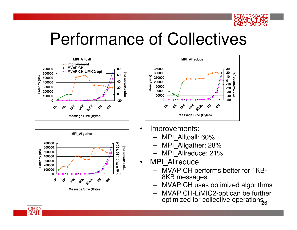

#### Performance of Collectives







- • Improvements:
	- MPI\_Alltoall: 60%
	- MPI\_Allgather: 28%
	- MPI\_Allreduce: 21%
- MPI Allreduce

•

- MVAPICH performs better for 1KB-8KB messages
- MVAPICH uses optimized algorithms
- 26 MVAPICH-LiMIC2-opt can be further optimized for collective operations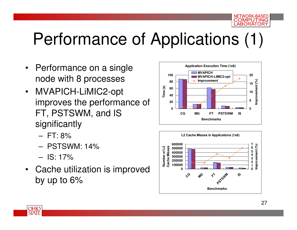# Performance of Applications (1)

- Performance on a single node with 8 processes
- $\bullet$  MVAPICH-LiMIC2-opt improves the performance of FT, PSTSWM, and IS significantly
	- –FT: 8%
	- PSIS PSTSWM: 14%
	- –IS: 17%
- Cache utilization is improved by up to 6%





WORK-BASED COMPUTING ABORATORY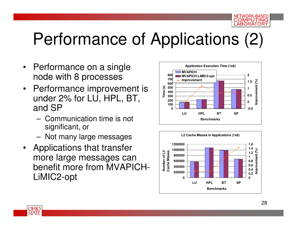#### WORK-BASED COMPUTING ABORATORY

# Performance of Applications (2)

- $\bullet$  Performance on a single node with 8 processes
- Performance improvement is  $\bullet$ under 2% for LU, HPL, BT, and SP
	- – Communication time is not significant, or
	- –Not many large messages
- • Applications that transfer more large messages can benefit more from MVAPICH-LiMIC2-opt





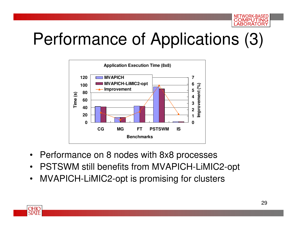

# Performance of Applications (3)



- Performance on 8 nodes with 8x8 processes
- •PSTSWM still benefits from MVAPICH-LiMIC2-opt
- $\bullet$ MVAPICH-LiMIC2-opt is promising for clusters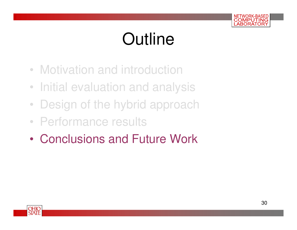

# **Outline**

- Motivation and introduction
- Initial evaluation and analysis
- •Design of the hybrid approach
- Performance results
- •Conclusions and Future Work

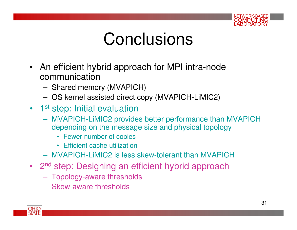

# **Conclusions**

- An efficient hybrid approach for MPI intra-node communication
	- Sharad mamı Shared memory (MVAPICH)
	- –OS kernel assisted direct copy (MVAPICH-LiMIC2)
- 1st step: Initial evaluation
	- $-$  MVAPICH-LIMIC2 provid MVAPICH-LiMIC2 provides better performance than MVAPICH depending on the message size and physical topology
		- Fewer number of copies
		- Efficient cache utilization
	- MVAPICH-LiMIC2 is less skew-tolerant than MVAPICH
- 2<sup>nd</sup> step: Designing an efficient hybrid approach
	- **Hart Communication** Topology-aware thresholds
	- –Skew-aware thresholds

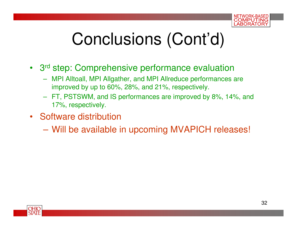

# Conclusions (Cont'd)

- <sup>3</sup>rd step: Comprehensive performance evaluation
	- MPI Alltoall, MPI Allgather, and MPI Allreduce performances are improved by up to 60%, 28%, and 21%, respectively.
	- FT, PSTSWM, and IS performances are improved by 8%, 14%, and 17%, respectively.
- Software distribution
	- –Will be available in upcoming MVAPICH releases!

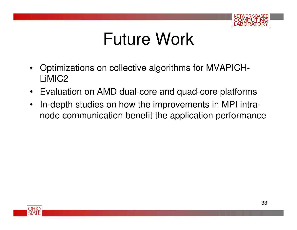

# Future Work

- $\bullet$  Optimizations on collective algorithms for MVAPICH-LiMIC2
- Evaluation on AMD dual-core and quad-core platforms
- $\bullet$  In-depth studies on how the improvements in MPI intranode communication benefit the application performance

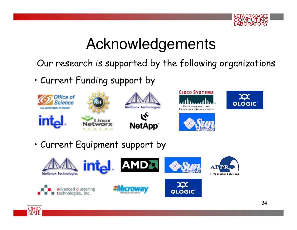

#### Acknowledgements

Our research is supported by the following organizations

• Current Funding support by



• Current Equipment support by

OHIO STATE